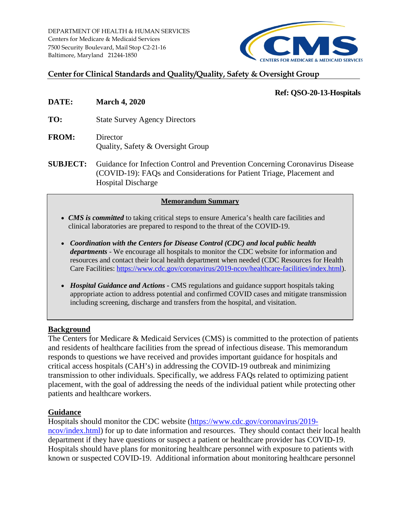DEPARTMENT OF HEALTH & HUMAN SERVICES Centers for Medicare & Medicaid Services 7500 Security Boulevard, Mail Stop C2-21-16 Baltimore, Maryland 21244-1850



## **Center for Clinical Standards and Quality/Quality, Safety & Oversight Group**

### **Ref: QSO-20-13-Hospitals**

- **DATE: March 4, 2020**
- **TO:** State Survey Agency Directors
- **FROM:** Director Quality, Safety & Oversight Group
- **SUBJECT:** Guidance for Infection Control and Prevention Concerning Coronavirus Disease (COVID-19): FAQs and Considerations for Patient Triage, Placement and Hospital Discharge

### **Memorandum Summary**

- *CMS is committed* to taking critical steps to ensure America's health care facilities and clinical laboratories are prepared to respond to the threat of the COVID-19.
- *Coordination with the Centers for Disease Control (CDC) and local public health departments* - We encourage all hospitals to monitor the CDC website for information and resources and contact their local health department when needed (CDC Resources for Health Care Facilities: [https://www.cdc.gov/coronavirus/2019-ncov/healthcare-facilities/index.html\)](https://www.cdc.gov/coronavirus/2019-ncov/healthcare-facilities/index.html).
- *Hospital Guidance and Actions -* CMS regulations and guidance support hospitals taking appropriate action to address potential and confirmed COVID cases and mitigate transmission including screening, discharge and transfers from the hospital, and visitation.

### **Background**

The Centers for Medicare & Medicaid Services (CMS) is committed to the protection of patients and residents of healthcare facilities from the spread of infectious disease. This memorandum responds to questions we have received and provides important guidance for hospitals and critical access hospitals (CAH's) in addressing the COVID-19 outbreak and minimizing transmission to other individuals. Specifically, we address FAQs related to optimizing patient placement, with the goal of addressing the needs of the individual patient while protecting other patients and healthcare workers.

### **Guidance**

Hospitals should monitor the CDC website [\(https://www.cdc.gov/coronavirus/2019](https://www.cdc.gov/coronavirus/2019-ncov/index.html) [ncov/index.html\)](https://www.cdc.gov/coronavirus/2019-ncov/index.html) for up to date information and resources. They should contact their local health department if they have questions or suspect a patient or healthcare provider has COVID-19. Hospitals should have plans for monitoring healthcare personnel with exposure to patients with known or suspected COVID-19. Additional information about monitoring healthcare personnel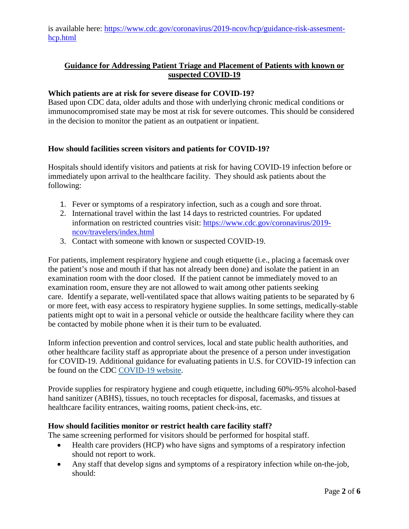is available here: [https://www.cdc.gov/coronavirus/2019-ncov/hcp/guidance-risk-assesment](https://www.cdc.gov/coronavirus/2019-ncov/hcp/guidance-risk-assesment-hcp.html)[hcp.html](https://www.cdc.gov/coronavirus/2019-ncov/hcp/guidance-risk-assesment-hcp.html)

# **Guidance for Addressing Patient Triage and Placement of Patients with known or suspected COVID-19**

### **Which patients are at risk for severe disease for COVID-19?**

Based upon CDC data, older adults and those with underlying chronic medical conditions or immunocompromised state may be most at risk for severe outcomes. This should be considered in the decision to monitor the patient as an outpatient or inpatient.

### **How should facilities screen visitors and patients for COVID-19?**

Hospitals should identify visitors and patients at risk for having COVID-19 infection before or immediately upon arrival to the healthcare facility. They should ask patients about the following:

- 1. Fever or symptoms of a respiratory infection, such as a cough and sore throat.
- 2. International travel within the last 14 days to restricted countries. For updated information on restricted countries visit: [https://www.cdc.gov/coronavirus/2019](https://www.cdc.gov/coronavirus/2019-ncov/travelers/index.html) [ncov/travelers/index.html](https://www.cdc.gov/coronavirus/2019-ncov/travelers/index.html)
- 3. Contact with someone with known or suspected COVID-19.

For patients, implement respiratory hygiene and cough etiquette (i.e., placing a facemask over the patient's nose and mouth if that has not already been done) and isolate the patient in an examination room with the door closed. If the patient cannot be immediately moved to an examination room, ensure they are not allowed to wait among other patients seeking care. Identify a separate, well-ventilated space that allows waiting patients to be separated by 6 or more feet, with easy access to respiratory hygiene supplies. In some settings, medically-stable patients might opt to wait in a personal vehicle or outside the healthcare facility where they can be contacted by mobile phone when it is their turn to be evaluated.

Inform infection prevention and control services, local and state public health authorities, and other healthcare facility staff as appropriate about the presence of a person under investigation for COVID-19. Additional guidance for evaluating patients in U.S. for COVID-19 infection can be found on the CDC [COVID-19 website.](https://www.cdc.gov/coronavirus/2019-nCoV/guidance-hcp.html)

Provide supplies for respiratory hygiene and cough etiquette, including 60%-95% alcohol-based hand sanitizer (ABHS), tissues, no touch receptacles for disposal, facemasks, and tissues at healthcare facility entrances, waiting rooms, patient check-ins, etc.

### **How should facilities monitor or restrict health care facility staff?**

The same screening performed for visitors should be performed for hospital staff.

- Health care providers (HCP) who have signs and symptoms of a respiratory infection should not report to work.
- Any staff that develop signs and symptoms of a respiratory infection while on-the-job, should: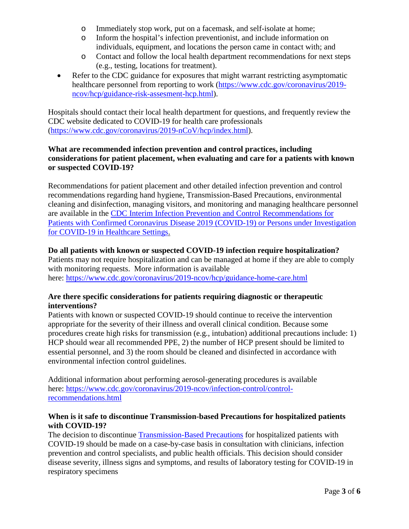- o Immediately stop work, put on a facemask, and self-isolate at home;
- o Inform the hospital's infection preventionist, and include information on individuals, equipment, and locations the person came in contact with; and
- o Contact and follow the local health department recommendations for next steps (e.g., testing, locations for treatment).
- Refer to the CDC guidance for exposures that might warrant restricting asymptomatic healthcare personnel from reporting to work [\(https://www.cdc.gov/coronavirus/2019](https://www.cdc.gov/coronavirus/2019-ncov/hcp/guidance-risk-assesment-hcp.html) [ncov/hcp/guidance-risk-assesment-hcp.html\)](https://www.cdc.gov/coronavirus/2019-ncov/hcp/guidance-risk-assesment-hcp.html).

Hospitals should contact their local health department for questions, and frequently review the CDC website dedicated to COVID-19 for health care professionals [\(https://www.cdc.gov/coronavirus/2019-nCoV/hcp/index.html\)](https://www.cdc.gov/coronavirus/2019-nCoV/hcp/index.html).

### **What are recommended infection prevention and control practices, including considerations for patient placement, when evaluating and care for a patients with known or suspected COVID-19?**

Recommendations for patient placement and other detailed infection prevention and control recommendations regarding hand hygiene, Transmission-Based Precautions, environmental cleaning and disinfection, managing visitors, and monitoring and managing healthcare personnel are available in the [CDC Interim Infection Prevention and Control Recommendations for](https://www.cdc.gov/coronavirus/2019-ncov/infection-control/control-recommendations.html)  [Patients with Confirmed Coronavirus Disease 2019 \(COVID-19\) or Persons under Investigation](https://www.cdc.gov/coronavirus/2019-ncov/infection-control/control-recommendations.html)  [for COVID-19 in Healthcare Settings.](https://www.cdc.gov/coronavirus/2019-ncov/infection-control/control-recommendations.html)

# **Do all patients with known or suspected COVID-19 infection require hospitalization?**

Patients may not require hospitalization and can be managed at home if they are able to comply with monitoring requests. More information is available here:<https://www.cdc.gov/coronavirus/2019-ncov/hcp/guidance-home-care.html>

### **Are there specific considerations for patients requiring diagnostic or therapeutic interventions?**

Patients with known or suspected COVID-19 should continue to receive the intervention appropriate for the severity of their illness and overall clinical condition. Because some procedures create high risks for transmission (e.g., intubation) additional precautions include: 1) HCP should wear all recommended PPE, 2) the number of HCP present should be limited to essential personnel, and 3) the room should be cleaned and disinfected in accordance with environmental infection control guidelines.

Additional information about performing aerosol-generating procedures is available here: [https://www.cdc.gov/coronavirus/2019-ncov/infection-control/control](https://www.cdc.gov/coronavirus/2019-ncov/infection-control/control-recommendations.html)[recommendations.html](https://www.cdc.gov/coronavirus/2019-ncov/infection-control/control-recommendations.html)

### **When is it safe to discontinue Transmission-based Precautions for hospitalized patients with COVID-19?**

The decision to discontinue [Transmission-Based Precautions](https://www.cdc.gov/coronavirus/2019-ncov/infection-control/control-recommendations.html) for hospitalized patients with COVID-19 should be made on a case-by-case basis in consultation with clinicians, infection prevention and control specialists, and public health officials. This decision should consider disease severity, illness signs and symptoms, and results of laboratory testing for COVID-19 in respiratory specimens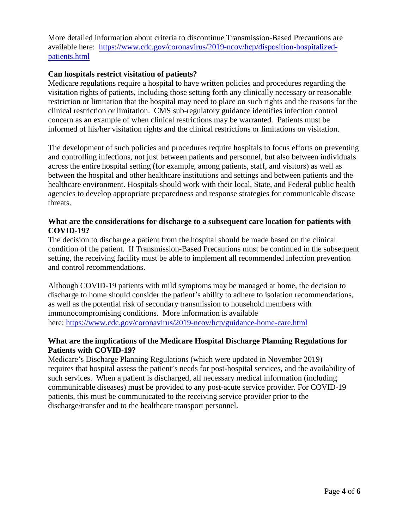More detailed information about criteria to discontinue Transmission-Based Precautions are available here: [https://www.cdc.gov/coronavirus/2019-ncov/hcp/disposition-hospitalized](https://www.cdc.gov/coronavirus/2019-ncov/hcp/disposition-hospitalized-patients.html)[patients.html](https://www.cdc.gov/coronavirus/2019-ncov/hcp/disposition-hospitalized-patients.html)

### **Can hospitals restrict visitation of patients?**

Medicare regulations require a hospital to have written policies and procedures regarding the visitation rights of patients, including those setting forth any clinically necessary or reasonable restriction or limitation that the hospital may need to place on such rights and the reasons for the clinical restriction or limitation. CMS sub-regulatory guidance identifies infection control concern as an example of when clinical restrictions may be warranted. Patients must be informed of his/her visitation rights and the clinical restrictions or limitations on visitation.

The development of such policies and procedures require hospitals to focus efforts on preventing and controlling infections, not just between patients and personnel, but also between individuals across the entire hospital setting (for example, among patients, staff, and visitors) as well as between the hospital and other healthcare institutions and settings and between patients and the healthcare environment. Hospitals should work with their local, State, and Federal public health agencies to develop appropriate preparedness and response strategies for communicable disease threats.

### **What are the considerations for discharge to a subsequent care location for patients with COVID-19?**

The decision to discharge a patient from the hospital should be made based on the clinical condition of the patient. If Transmission-Based Precautions must be continued in the subsequent setting, the receiving facility must be able to implement all recommended infection prevention and control recommendations.

Although COVID-19 patients with mild symptoms may be managed at home, the decision to discharge to home should consider the patient's ability to adhere to isolation recommendations, as well as the potential risk of secondary transmission to household members with immunocompromising conditions. More information is available here: <https://www.cdc.gov/coronavirus/2019-ncov/hcp/guidance-home-care.html>

### **What are the implications of the Medicare Hospital Discharge Planning Regulations for Patients with COVID-19?**

Medicare's Discharge Planning Regulations (which were updated in November 2019) requires that hospital assess the patient's needs for post-hospital services, and the availability of such services. When a patient is discharged, all necessary medical information (including communicable diseases) must be provided to any post-acute service provider. For COVID-19 patients, this must be communicated to the receiving service provider prior to the discharge/transfer and to the healthcare transport personnel.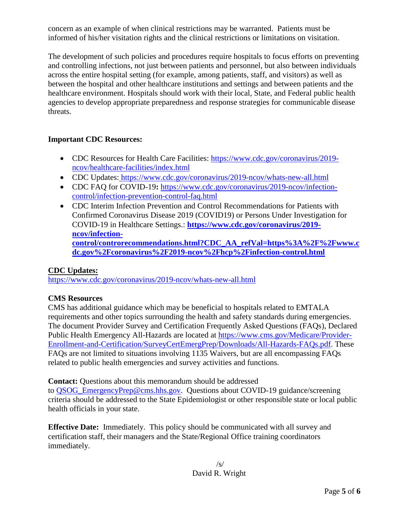concern as an example of when clinical restrictions may be warranted. Patients must be informed of his/her visitation rights and the clinical restrictions or limitations on visitation.

The development of such policies and procedures require hospitals to focus efforts on preventing and controlling infections, not just between patients and personnel, but also between individuals across the entire hospital setting (for example, among patients, staff, and visitors) as well as between the hospital and other healthcare institutions and settings and between patients and the healthcare environment. Hospitals should work with their local, State, and Federal public health agencies to develop appropriate preparedness and response strategies for communicable disease threats.

# **Important CDC Resources:**

- CDC Resources for Health Care Facilities: [https://www.cdc.gov/coronavirus/2019](https://www.cdc.gov/coronavirus/2019-ncov/healthcare-facilities/index.html) [ncov/healthcare-facilities/index.html](https://www.cdc.gov/coronavirus/2019-ncov/healthcare-facilities/index.html)
- CDC Updates: <https://www.cdc.gov/coronavirus/2019-ncov/whats-new-all.html>
- CDC FAQ for COVID-19: [https://www.cdc.gov/coronavirus/2019-ncov/infection](https://www.cdc.gov/coronavirus/2019-ncov/infection-control/infection-prevention-control-faq.html)[control/infection-prevention-control-faq.html](https://www.cdc.gov/coronavirus/2019-ncov/infection-control/infection-prevention-control-faq.html)
- CDC Interim Infection Prevention and Control Recommendations for Patients with Confirmed Coronavirus Disease 2019 (COVID19) or Persons Under Investigation for COVID-19 in Healthcare Settings.: **[https://www.cdc.gov/coronavirus/2019](https://www.cdc.gov/coronavirus/2019-ncov/infection-control/controrecommendations.html?CDC_AA_refVal=https%3A%2F%2Fwww.cdc.gov%2Fcoronavirus%2F2019-ncov%2Fhcp%2Finfection-control.html) [ncov/infection](https://www.cdc.gov/coronavirus/2019-ncov/infection-control/controrecommendations.html?CDC_AA_refVal=https%3A%2F%2Fwww.cdc.gov%2Fcoronavirus%2F2019-ncov%2Fhcp%2Finfection-control.html)[control/controrecommendations.html?CDC\\_AA\\_refVal=https%3A%2F%2Fwww.c](https://www.cdc.gov/coronavirus/2019-ncov/infection-control/controrecommendations.html?CDC_AA_refVal=https%3A%2F%2Fwww.cdc.gov%2Fcoronavirus%2F2019-ncov%2Fhcp%2Finfection-control.html) [dc.gov%2Fcoronavirus%2F2019-ncov%2Fhcp%2Finfection-control.html](https://www.cdc.gov/coronavirus/2019-ncov/infection-control/controrecommendations.html?CDC_AA_refVal=https%3A%2F%2Fwww.cdc.gov%2Fcoronavirus%2F2019-ncov%2Fhcp%2Finfection-control.html)**

# **CDC Updates:**

<https://www.cdc.gov/coronavirus/2019-ncov/whats-new-all.html>

# **CMS Resources**

CMS has additional guidance which may be beneficial to hospitals related to EMTALA requirements and other topics surrounding the health and safety standards during emergencies. The document Provider Survey and Certification Frequently Asked Questions (FAQs), Declared Public Health Emergency All-Hazards are located at [https://www.cms.gov/Medicare/Provider-](https://www.cms.gov/Medicare/Provider-Enrollment-and-Certification/SurveyCertEmergPrep/Downloads/All-Hazards-FAQs.pdf)[Enrollment-and-Certification/SurveyCertEmergPrep/Downloads/All-Hazards-FAQs.pdf.](https://www.cms.gov/Medicare/Provider-Enrollment-and-Certification/SurveyCertEmergPrep/Downloads/All-Hazards-FAQs.pdf) These FAQs are not limited to situations involving 1135 Waivers, but are all encompassing FAQs related to public health emergencies and survey activities and functions.

**Contact:** Questions about this memorandum should be addressed to OSOG EmergencyPrep@cms.hhs.gov. Questions about COVID-19 guidance/screening criteria should be addressed to the State Epidemiologist or other responsible state or local public health officials in your state.

**Effective Date:** Immediately. This policy should be communicated with all survey and certification staff, their managers and the State/Regional Office training coordinators immediately.